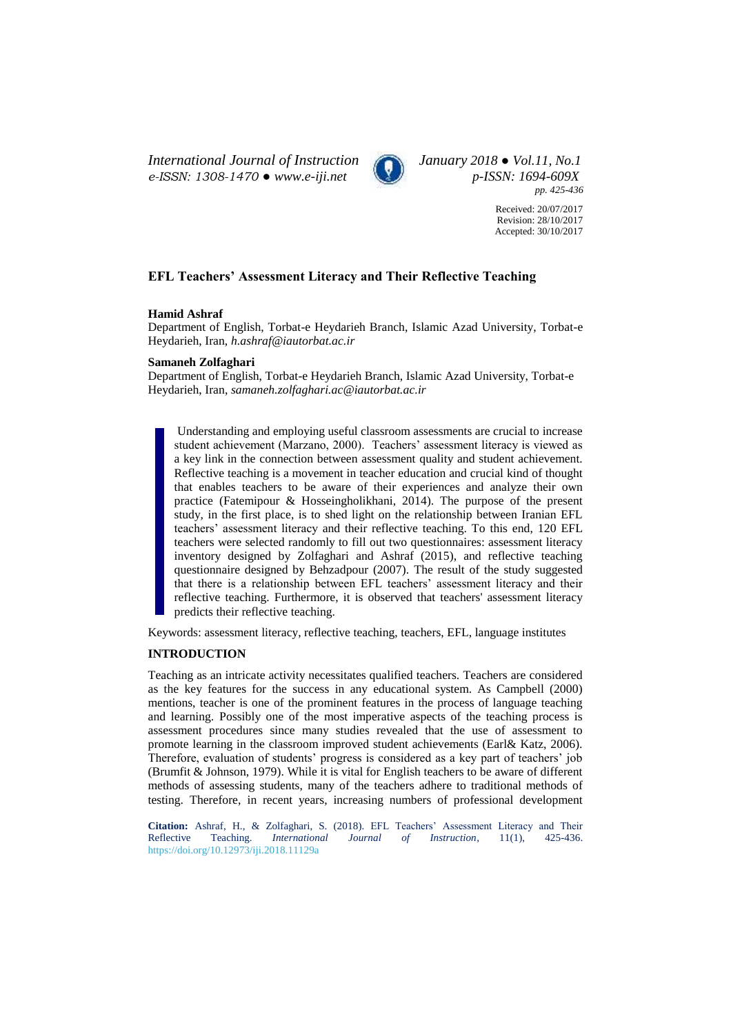*International Journal of Instruction January 2018 ● Vol.11, No.1 e-ISSN: 1308-1470 ● [www.e-iji.net](http://www.e-iji.net/) p-ISSN: 1694-609X*



*pp. 425-436*

Received: 20/07/2017 Revision: 28/10/2017 Accepted: 30/10/2017

# **EFL Teachers' Assessment Literacy and Their Reflective Teaching**

### **Hamid Ashraf**

Department of English, Torbat-e Heydarieh Branch, Islamic Azad University, Torbat-e Heydarieh, Iran, *h.ashraf@iautorbat.ac.ir*

#### **Samaneh Zolfaghari**

Department of English, Torbat-e Heydarieh Branch, Islamic Azad University, Torbat-e Heydarieh, Iran, *samaneh.zolfaghari.ac@iautorbat.ac.ir*

Understanding and employing useful classroom assessments are crucial to increase student achievement (Marzano, 2000). Teachers' assessment literacy is viewed as a key link in the connection between assessment quality and student achievement. Reflective teaching is a movement in teacher education and crucial kind of thought that enables teachers to be aware of their experiences and analyze their own practice (Fatemipour & Hosseingholikhani, 2014). The purpose of the present study, in the first place, is to shed light on the relationship between Iranian EFL teachers' assessment literacy and their reflective teaching. To this end, 120 EFL teachers were selected randomly to fill out two questionnaires: assessment literacy inventory designed by Zolfaghari and Ashraf (2015), and reflective teaching questionnaire designed by Behzadpour (2007). The result of the study suggested that there is a relationship between EFL teachers' assessment literacy and their reflective teaching. Furthermore, it is observed that teachers' assessment literacy predicts their reflective teaching.

Keywords: assessment literacy, reflective teaching, teachers, EFL, language institutes

### **INTRODUCTION**

Teaching as an intricate activity necessitates qualified teachers. Teachers are considered as the key features for the success in any educational system. As Campbell (2000) mentions, teacher is one of the prominent features in the process of language teaching and learning. Possibly one of the most imperative aspects of the teaching process is assessment procedures since many studies revealed that the use of assessment to promote learning in the classroom improved student achievements (Earl& Katz, 2006). Therefore, evaluation of students' progress is considered as a key part of teachers' job (Brumfit & Johnson, 1979). While it is vital for English teachers to be aware of different methods of assessing students, many of the teachers adhere to traditional methods of testing. Therefore, in recent years, increasing numbers of professional development

**Citation:** Ashraf, H., & Zolfaghari, S. (2018). EFL Teachers' Assessment Literacy and Their Reflective Teaching. *International Journal of Instruction*, 11(1), 425-436. <https://doi.org/10.12973/iji.2018.11129a>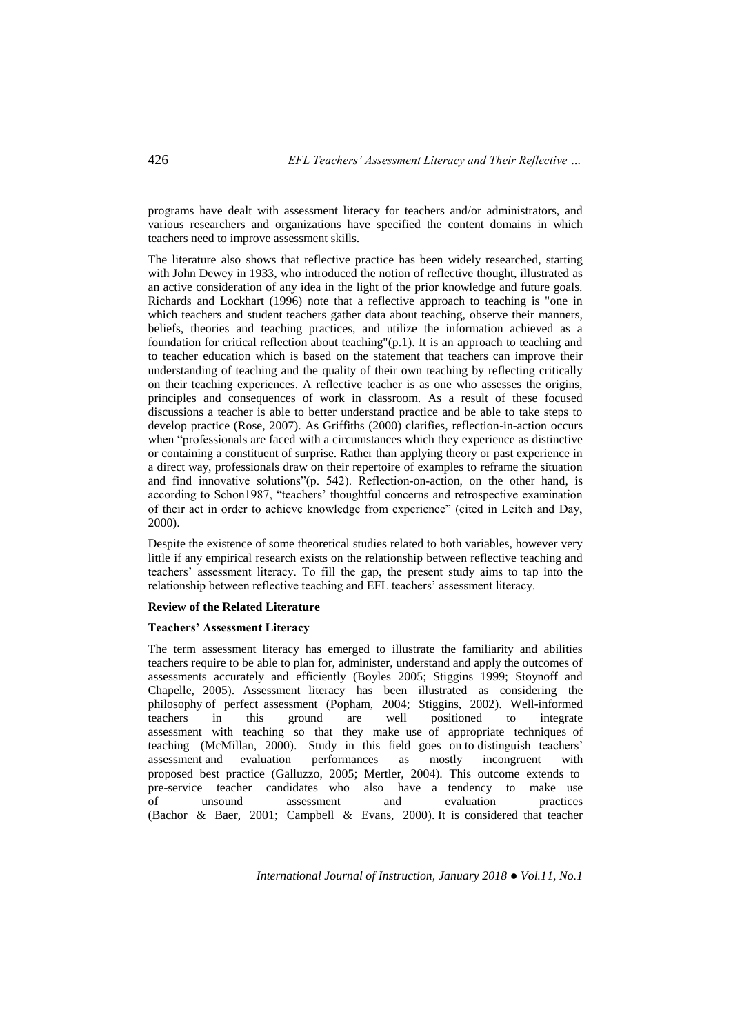programs have dealt with assessment literacy for teachers and/or administrators, and various researchers and organizations have specified the content domains in which teachers need to improve assessment skills.

The literature also shows that reflective practice has been widely researched, starting with John Dewey in 1933, who introduced the notion of reflective thought, illustrated as an active consideration of any idea in the light of the prior knowledge and future goals. Richards and Lockhart (1996) note that a reflective approach to teaching is "one in which teachers and student teachers gather data about teaching, observe their manners, beliefs, theories and teaching practices, and utilize the information achieved as a foundation for critical reflection about teaching"(p.1). It is an approach to teaching and to teacher education which is based on the statement that teachers can improve their understanding of teaching and the quality of their own teaching by reflecting critically on their teaching experiences. A reflective teacher is as one who assesses the origins, principles and consequences of work in classroom. As a result of these focused discussions a teacher is able to better understand practice and be able to take steps to develop practice (Rose, 2007). As Griffiths (2000) clarifies, reflection-in-action occurs when "professionals are faced with a circumstances which they experience as distinctive or containing a constituent of surprise. Rather than applying theory or past experience in a direct way, professionals draw on their repertoire of examples to reframe the situation and find innovative solutions"(p. 542). Reflection-on-action, on the other hand, is according to Schon1987, "teachers' thoughtful concerns and retrospective examination of their act in order to achieve knowledge from experience" (cited in Leitch and Day, 2000).

Despite the existence of some theoretical studies related to both variables, however very little if any empirical research exists on the relationship between reflective teaching and teachers' assessment literacy. To fill the gap, the present study aims to tap into the relationship between reflective teaching and EFL teachers' assessment literacy.

### **Review of the Related Literature**

### **Teachers' Assessment Literacy**

The term assessment literacy has emerged to illustrate the familiarity and abilities teachers require to be able to plan for, administer, understand and apply the outcomes of assessments accurately and efficiently (Boyles 2005; Stiggins 1999; Stoynoff and Chapelle, 2005). Assessment literacy has been illustrated as considering the philosophy of perfect assessment (Popham, 2004; Stiggins, 2002). Well-informed teachers in this ground are well positioned to integrate in this ground are well positioned to integrate assessment with teaching so that they make use of appropriate techniques of teaching (McMillan, 2000). Study in this field goes on to distinguish teachers' assessment and evaluation performances as mostly incongruent with proposed best practice (Galluzzo, 2005; Mertler, 2004). This outcome extends to pre-service teacher candidates who also have a tendency to make use of unsound assessment and evaluation practices (Bachor & Baer, 2001; Campbell & Evans, 2000). It is considered that teacher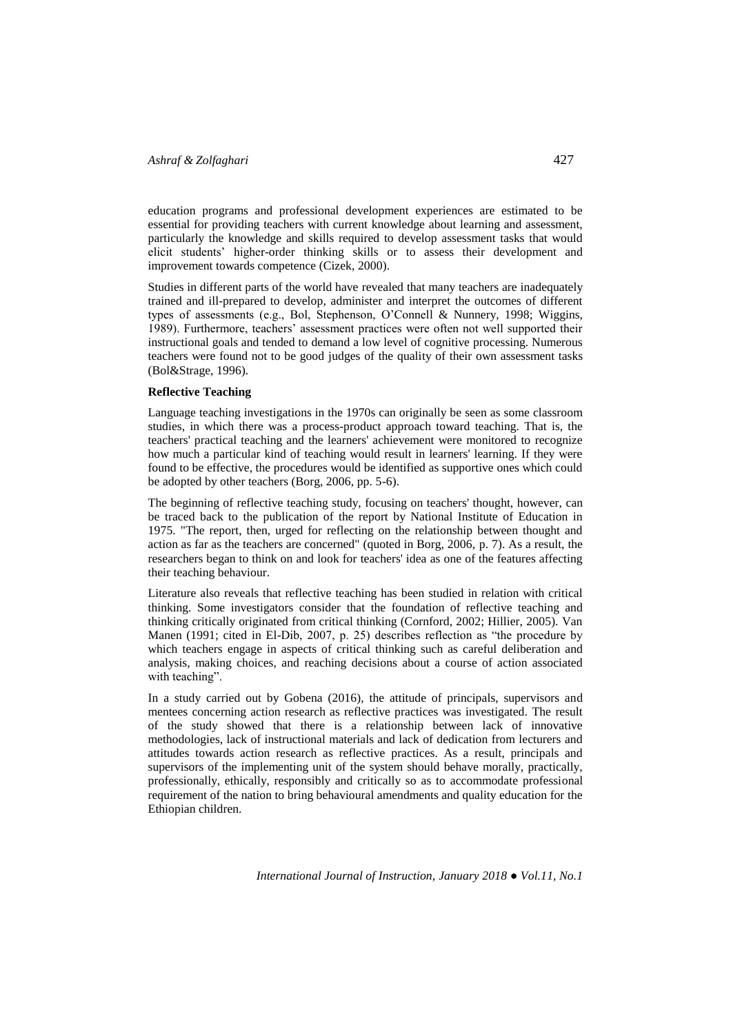education programs and professional development experiences are estimated to be essential for providing teachers with current knowledge about learning and assessment, particularly the knowledge and skills required to develop assessment tasks that would elicit students' higher-order thinking skills or to assess their development and improvement towards competence (Cizek, 2000).

Studies in different parts of the world have revealed that many teachers are inadequately trained and ill-prepared to develop, administer and interpret the outcomes of different types of assessments (e.g., Bol, Stephenson, O'Connell & Nunnery, 1998; Wiggins, 1989). Furthermore, teachers' assessment practices were often not well supported their instructional goals and tended to demand a low level of cognitive processing. Numerous teachers were found not to be good judges of the quality of their own assessment tasks (Bol&Strage, 1996).

### **Reflective Teaching**

Language teaching investigations in the 1970s can originally be seen as some classroom studies, in which there was a process-product approach toward teaching. That is, the teachers' practical teaching and the learners' achievement were monitored to recognize how much a particular kind of teaching would result in learners' learning. If they were found to be effective, the procedures would be identified as supportive ones which could be adopted by other teachers (Borg, 2006, pp. 5-6).

The beginning of reflective teaching study, focusing on teachers' thought, however, can be traced back to the publication of the report by National Institute of Education in 1975. "The report, then, urged for reflecting on the relationship between thought and action as far as the teachers are concerned" (quoted in Borg, 2006, p. 7). As a result, the researchers began to think on and look for teachers' idea as one of the features affecting their teaching behaviour.

Literature also reveals that reflective teaching has been studied in relation with critical thinking. Some investigators consider that the foundation of reflective teaching and thinking critically originated from critical thinking (Cornford, 2002; Hillier, 2005). Van Manen (1991; cited in El-Dib, 2007, p. 25) describes reflection as "the procedure by which teachers engage in aspects of critical thinking such as careful deliberation and analysis, making choices, and reaching decisions about a course of action associated with teaching".

In a study carried out by Gobena (2016), the attitude of principals, supervisors and mentees concerning action research as reflective practices was investigated. The result of the study showed that there is a relationship between lack of innovative methodologies, lack of instructional materials and lack of dedication from lecturers and attitudes towards action research as reflective practices. As a result, principals and supervisors of the implementing unit of the system should behave morally, practically, professionally, ethically, responsibly and critically so as to accommodate professional requirement of the nation to bring behavioural amendments and quality education for the Ethiopian children.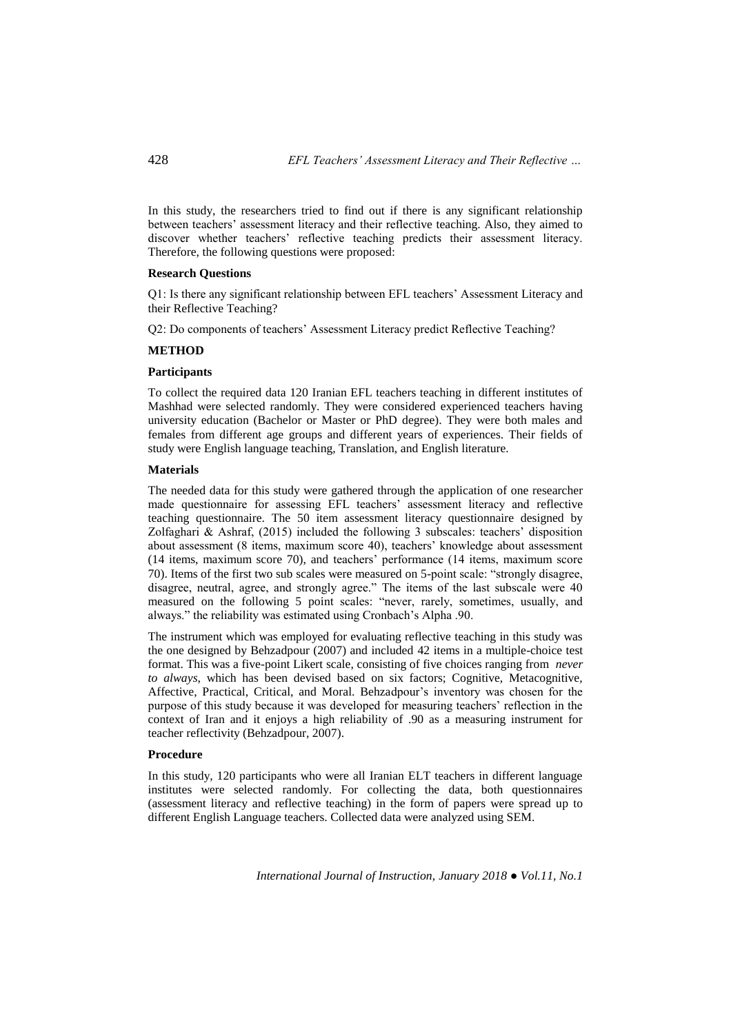In this study, the researchers tried to find out if there is any significant relationship between teachers' assessment literacy and their reflective teaching. Also, they aimed to discover whether teachers' reflective teaching predicts their assessment literacy. Therefore, the following questions were proposed:

#### **Research Questions**

Q1: Is there any significant relationship between EFL teachers' Assessment Literacy and their Reflective Teaching?

Q2: Do components of teachers' Assessment Literacy predict Reflective Teaching?

#### **METHOD**

#### **Participants**

To collect the required data 120 Iranian EFL teachers teaching in different institutes of Mashhad were selected randomly. They were considered experienced teachers having university education (Bachelor or Master or PhD degree). They were both males and females from different age groups and different years of experiences. Their fields of study were English language teaching, Translation, and English literature.

#### **Materials**

The needed data for this study were gathered through the application of one researcher made questionnaire for assessing EFL teachers' assessment literacy and reflective teaching questionnaire. The 50 item assessment literacy questionnaire designed by Zolfaghari & Ashraf, (2015) included the following 3 subscales: teachers' disposition about assessment (8 items, maximum score 40), teachers' knowledge about assessment (14 items, maximum score 70), and teachers' performance (14 items, maximum score 70). Items of the first two sub scales were measured on 5-point scale: "strongly disagree, disagree, neutral, agree, and strongly agree." The items of the last subscale were 40 measured on the following 5 point scales: "never, rarely, sometimes, usually, and always." the reliability was estimated using Cronbach's Alpha .90.

The instrument which was employed for evaluating reflective teaching in this study was the one designed by Behzadpour (2007) and included 42 items in a multiple-choice test format. This was a five-point Likert scale, consisting of five choices ranging from *never to always*, which has been devised based on six factors; Cognitive, Metacognitive, Affective, Practical, Critical, and Moral. Behzadpour's inventory was chosen for the purpose of this study because it was developed for measuring teachers' reflection in the context of Iran and it enjoys a high reliability of .90 as a measuring instrument for teacher reflectivity (Behzadpour, 2007).

### **Procedure**

In this study, 120 participants who were all Iranian ELT teachers in different language institutes were selected randomly. For collecting the data, both questionnaires (assessment literacy and reflective teaching) in the form of papers were spread up to different English Language teachers. Collected data were analyzed using SEM.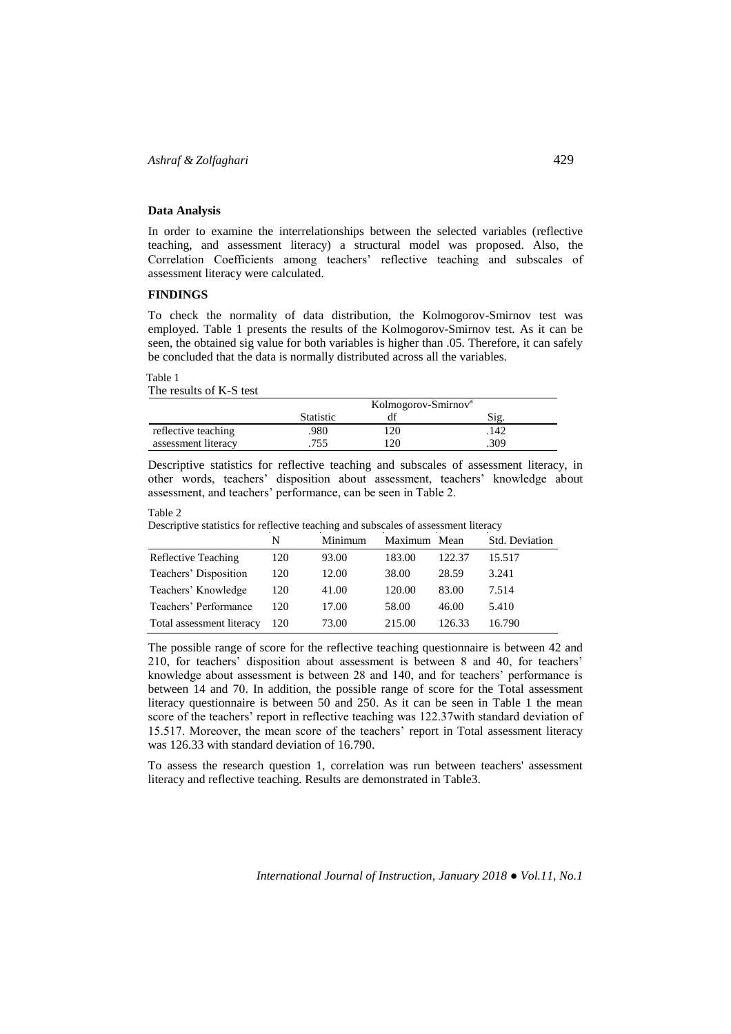## **Data Analysis**

In order to examine the interrelationships between the selected variables (reflective teaching, and assessment literacy) a structural model was proposed. Also, the Correlation Coefficients among teachers' reflective teaching and subscales of assessment literacy were calculated.

### **FINDINGS**

To check the normality of data distribution, the Kolmogorov-Smirnov test was employed. Table 1 presents the results of the Kolmogorov-Smirnov test. As it can be seen, the obtained sig value for both variables is higher than .05. Therefore, it can safely be concluded that the data is normally distributed across all the variables.

#### Table 1

The results of K-S test

|                     |           | Kolmogorov-Smirnov <sup>a</sup> |      |
|---------------------|-----------|---------------------------------|------|
|                     | Statistic |                                 | Sig  |
| reflective teaching | .980      | 120                             | .142 |
| assessment literacy | 755       | 120                             | .309 |

Descriptive statistics for reflective teaching and subscales of assessment literacy, in other words, teachers' disposition about assessment, teachers' knowledge about assessment, and teachers' performance, can be seen in Table 2.

#### Table 2

|                           | N   | Minimum | Maximum Mean |        | Std. Deviation |
|---------------------------|-----|---------|--------------|--------|----------------|
| Reflective Teaching       | 120 | 93.00   | 183.00       | 122.37 | 15.517         |
| Teachers' Disposition     | 120 | 12.00   | 38.00        | 28.59  | 3.241          |
| Teachers' Knowledge       | 120 | 41.00   | 120.00       | 83.00  | 7.514          |
| Teachers' Performance     | 120 | 17.00   | 58.00        | 46.00  | 5.410          |
| Total assessment literacy | 120 | 73.00   | 215.00       | 126.33 | 16.790         |

Descriptive statistics for reflective teaching and subscales of assessment literacy

The possible range of score for the reflective teaching questionnaire is between 42 and 210, for teachers' disposition about assessment is between 8 and 40, for teachers' knowledge about assessment is between 28 and 140, and for teachers' performance is between 14 and 70. In addition, the possible range of score for the Total assessment literacy questionnaire is between 50 and 250. As it can be seen in Table 1 the mean score of the teachers' report in reflective teaching was 122.37with standard deviation of 15.517. Moreover, the mean score of the teachers' report in Total assessment literacy was 126.33 with standard deviation of 16.790.

To assess the research question 1, correlation was run between teachers' assessment literacy and reflective teaching. Results are demonstrated in Table3.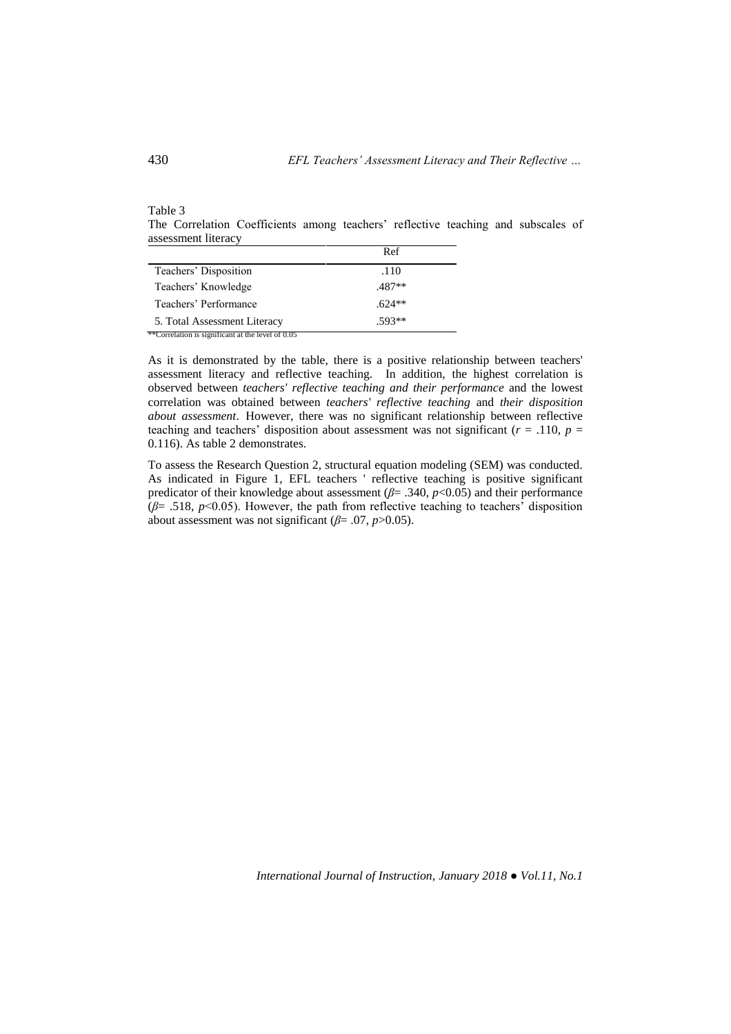The Correlation Coefficients among teachers' reflective teaching and subscales of assessment literacy

|                                                   | Ref      |  |
|---------------------------------------------------|----------|--|
| Teachers' Disposition                             | .110     |  |
| Teachers' Knowledge                               | .487**   |  |
| Teachers' Performance                             | $.624**$ |  |
| 5. Total Assessment Literacy                      | $.593**$ |  |
| **Correlation is significant at the level of 0.05 |          |  |

As it is demonstrated by the table, there is a positive relationship between teachers' assessment literacy and reflective teaching. In addition, the highest correlation is observed between *teachers' reflective teaching and their performance* and the lowest correlation was obtained between *teachers' reflective teaching* and *their disposition about assessment*. However, there was no significant relationship between reflective teaching and teachers' disposition about assessment was not significant ( $r = .110$ ,  $p =$ 0.116). As table 2 demonstrates.

To assess the Research Question 2, structural equation modeling (SEM) was conducted. As indicated in Figure 1, EFL teachers ' reflective teaching is positive significant predicator of their knowledge about assessment (*β*= .340, *p*<0.05) and their performance  $(\beta = .518, p<0.05)$ . However, the path from reflective teaching to teachers' disposition about assessment was not significant ( $\beta$ = .07, *p*>0.05).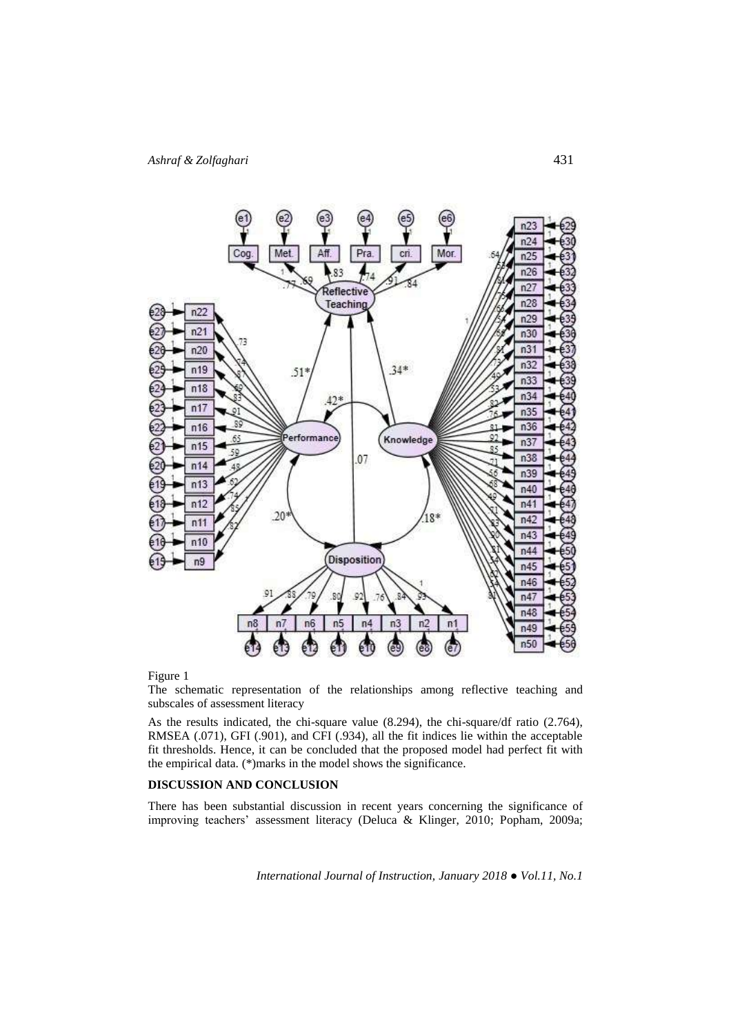

Figure 1

The schematic representation of the relationships among reflective teaching and subscales of assessment literacy

As the results indicated, the chi-square value (8.294), the chi-square/df ratio (2.764), RMSEA (.071), GFI (.901), and CFI (.934), all the fit indices lie within the acceptable fit thresholds. Hence, it can be concluded that the proposed model had perfect fit with the empirical data. (\*)marks in the model shows the significance.

## **DISCUSSION AND CONCLUSION**

There has been substantial discussion in recent years concerning the significance of improving teachers' assessment literacy (Deluca & Klinger, 2010; Popham, 2009a;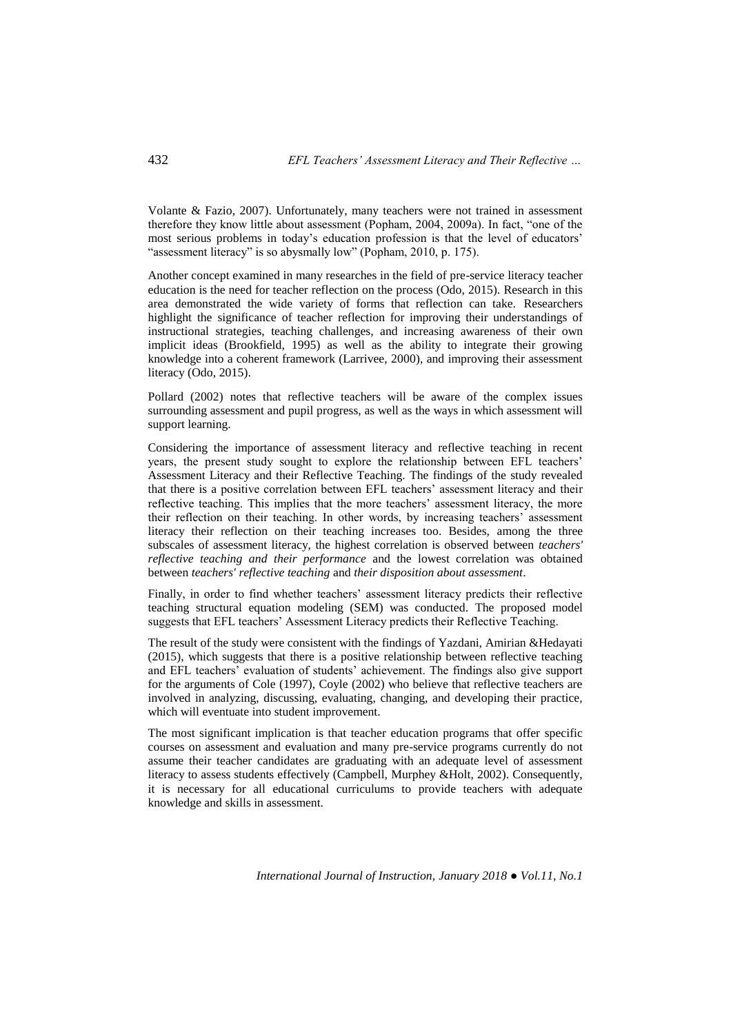Volante & Fazio, 2007). Unfortunately, many teachers were not trained in assessment therefore they know little about assessment (Popham, 2004, 2009a). In fact, "one of the most serious problems in today's education profession is that the level of educators' "assessment literacy" is so abysmally low" (Popham, 2010, p. 175).

Another concept examined in many researches in the field of pre-service literacy teacher education is the need for teacher reflection on the process (Odo, 2015). Research in this area demonstrated the wide variety of forms that reflection can take. Researchers highlight the significance of teacher reflection for improving their understandings of instructional strategies, teaching challenges, and increasing awareness of their own implicit ideas (Brookfield, 1995) as well as the ability to integrate their growing knowledge into a coherent framework (Larrivee, 2000), and improving their assessment literacy (Odo, 2015).

Pollard (2002) notes that reflective teachers will be aware of the complex issues surrounding assessment and pupil progress, as well as the ways in which assessment will support learning.

Considering the importance of assessment literacy and reflective teaching in recent years, the present study sought to explore the relationship between EFL teachers' Assessment Literacy and their Reflective Teaching. The findings of the study revealed that there is a positive correlation between EFL teachers' assessment literacy and their reflective teaching. This implies that the more teachers' assessment literacy, the more their reflection on their teaching. In other words, by increasing teachers' assessment literacy their reflection on their teaching increases too. Besides, among the three subscales of assessment literacy, the highest correlation is observed between *teachers' reflective teaching and their performance* and the lowest correlation was obtained between *teachers' reflective teaching* and *their disposition about assessment*.

Finally, in order to find whether teachers' assessment literacy predicts their reflective teaching structural equation modeling (SEM) was conducted. The proposed model suggests that EFL teachers' Assessment Literacy predicts their Reflective Teaching.

The result of the study were consistent with the findings of Yazdani, Amirian &Hedayati (2015), which suggests that there is a positive relationship between reflective teaching and EFL teachers' evaluation of students' achievement. The findings also give support for the arguments of Cole (1997), Coyle (2002) who believe that reflective teachers are involved in analyzing, discussing, evaluating, changing, and developing their practice, which will eventuate into student improvement.

The most significant implication is that teacher education programs that offer specific courses on assessment and evaluation and many pre-service programs currently do not assume their teacher candidates are graduating with an adequate level of assessment literacy to assess students effectively (Campbell, Murphey &Holt, 2002). Consequently, it is necessary for all educational curriculums to provide teachers with adequate knowledge and skills in assessment.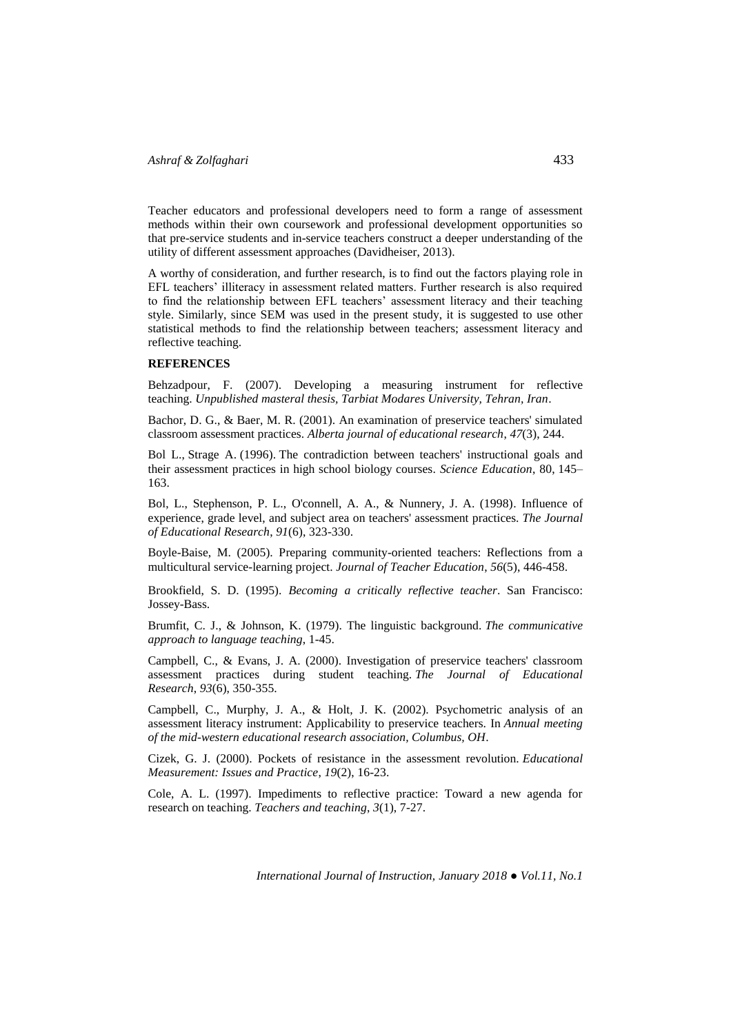Teacher educators and professional developers need to form a range of assessment methods within their own coursework and professional development opportunities so that pre-service students and in-service teachers construct a deeper understanding of the utility of different assessment approaches (Davidheiser, 2013).

A worthy of consideration, and further research, is to find out the factors playing role in EFL teachers' illiteracy in assessment related matters. Further research is also required to find the relationship between EFL teachers' assessment literacy and their teaching style. Similarly, since SEM was used in the present study, it is suggested to use other statistical methods to find the relationship between teachers; assessment literacy and reflective teaching.

### **REFERENCES**

Behzadpour, F. (2007). Developing a measuring instrument for reflective teaching. *Unpublished masteral thesis, Tarbiat Modares University, Tehran, Iran*.

Bachor, D. G., & Baer, M. R. (2001). An examination of preservice teachers' simulated classroom assessment practices. *Alberta journal of educational research*, *47*(3), 244.

Bol L., Strage A. (1996). The contradiction between teachers' instructional goals and their assessment practices in high school biology courses. *Science Education*, 80, 145– 163.

Bol, L., Stephenson, P. L., O'connell, A. A., & Nunnery, J. A. (1998). Influence of experience, grade level, and subject area on teachers' assessment practices. *The Journal of Educational Research*, *91*(6), 323-330.

Boyle-Baise, M. (2005). Preparing community-oriented teachers: Reflections from a multicultural service-learning project. *Journal of Teacher Education*, *56*(5), 446-458.

Brookfield, S. D. (1995). *Becoming a critically reflective teacher*. San Francisco: Jossey-Bass.

Brumfit, C. J., & Johnson, K. (1979). The linguistic background. *The communicative approach to language teaching*, 1-45.

Campbell, C., & Evans, J. A. (2000). Investigation of preservice teachers' classroom assessment practices during student teaching. *The Journal of Educational Research*, *93*(6), 350-355.

Campbell, C., Murphy, J. A., & Holt, J. K. (2002). Psychometric analysis of an assessment literacy instrument: Applicability to preservice teachers. In *Annual meeting of the mid-western educational research association, Columbus, OH*.

Cizek, G. J. (2000). Pockets of resistance in the assessment revolution. *Educational Measurement: Issues and Practice*, *19*(2), 16-23.

Cole, A. L. (1997). Impediments to reflective practice: Toward a new agenda for research on teaching. *Teachers and teaching*, *3*(1), 7-27.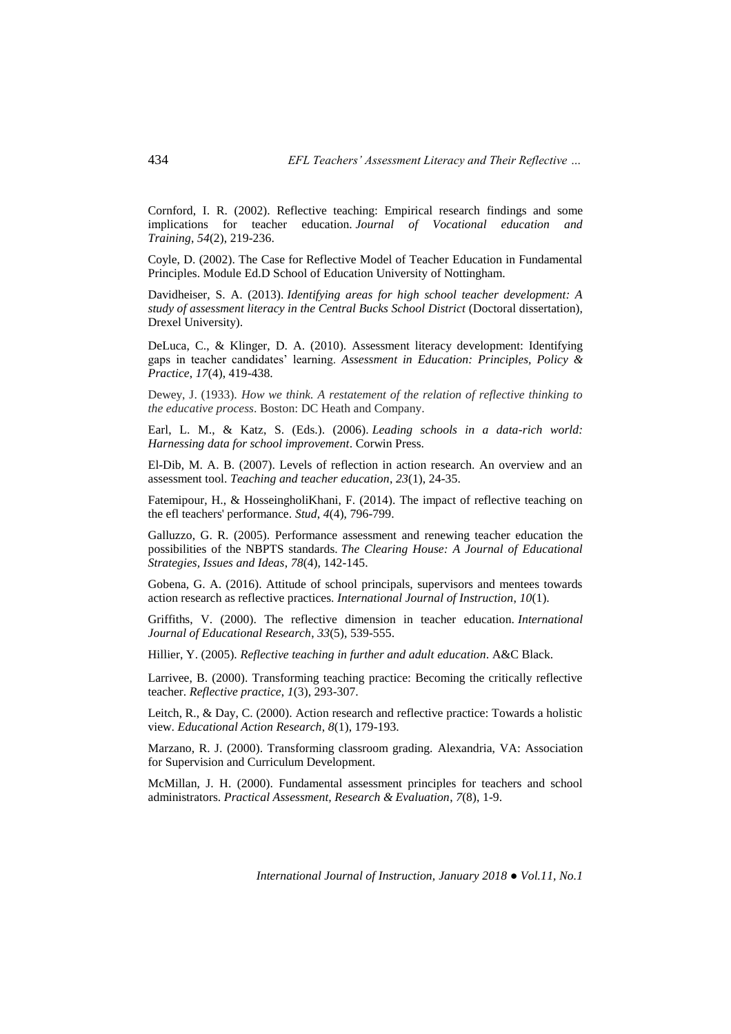Cornford, I. R. (2002). Reflective teaching: Empirical research findings and some implications for teacher education. *Journal of Vocational education and Training*, *54*(2), 219-236.

Coyle, D. (2002). The Case for Reflective Model of Teacher Education in Fundamental Principles. Module Ed.D School of Education University of Nottingham.

Davidheiser, S. A. (2013). *Identifying areas for high school teacher development: A study of assessment literacy in the Central Bucks School District* (Doctoral dissertation), Drexel University).

DeLuca, C., & Klinger, D. A. (2010). Assessment literacy development: Identifying gaps in teacher candidates' learning. *Assessment in Education: Principles, Policy & Practice*, *17*(4), 419-438.

Dewey, J. (1933). *How we think. A restatement of the relation of reflective thinking to the educative process*. Boston: DC Heath and Company.

Earl, L. M., & Katz, S. (Eds.). (2006). *Leading schools in a data-rich world: Harnessing data for school improvement*. Corwin Press.

El-Dib, M. A. B. (2007). Levels of reflection in action research. An overview and an assessment tool. *Teaching and teacher education*, *23*(1), 24-35.

Fatemipour, H., & HosseingholiKhani, F. (2014). The impact of reflective teaching on the efl teachers' performance. *Stud*, *4*(4), 796-799.

Galluzzo, G. R. (2005). Performance assessment and renewing teacher education the possibilities of the NBPTS standards. *The Clearing House: A Journal of Educational Strategies, Issues and Ideas*, *78*(4), 142-145.

Gobena, G. A. (2016). Attitude of school principals, supervisors and mentees towards action research as reflective practices. *International Journal of Instruction*, *10*(1).

Griffiths, V. (2000). The reflective dimension in teacher education. *International Journal of Educational Research*, *33*(5), 539-555.

Hillier, Y. (2005). *Reflective teaching in further and adult education*. A&C Black.

Larrivee, B. (2000). Transforming teaching practice: Becoming the critically reflective teacher. *Reflective practice*, *1*(3), 293-307.

Leitch, R., & Day, C. (2000). Action research and reflective practice: Towards a holistic view. *Educational Action Research*, *8*(1), 179-193.

Marzano, R. J. (2000). Transforming classroom grading. Alexandria, VA: Association for Supervision and Curriculum Development.

McMillan, J. H. (2000). Fundamental assessment principles for teachers and school administrators. *Practical Assessment, Research & Evaluation*, *7*(8), 1-9.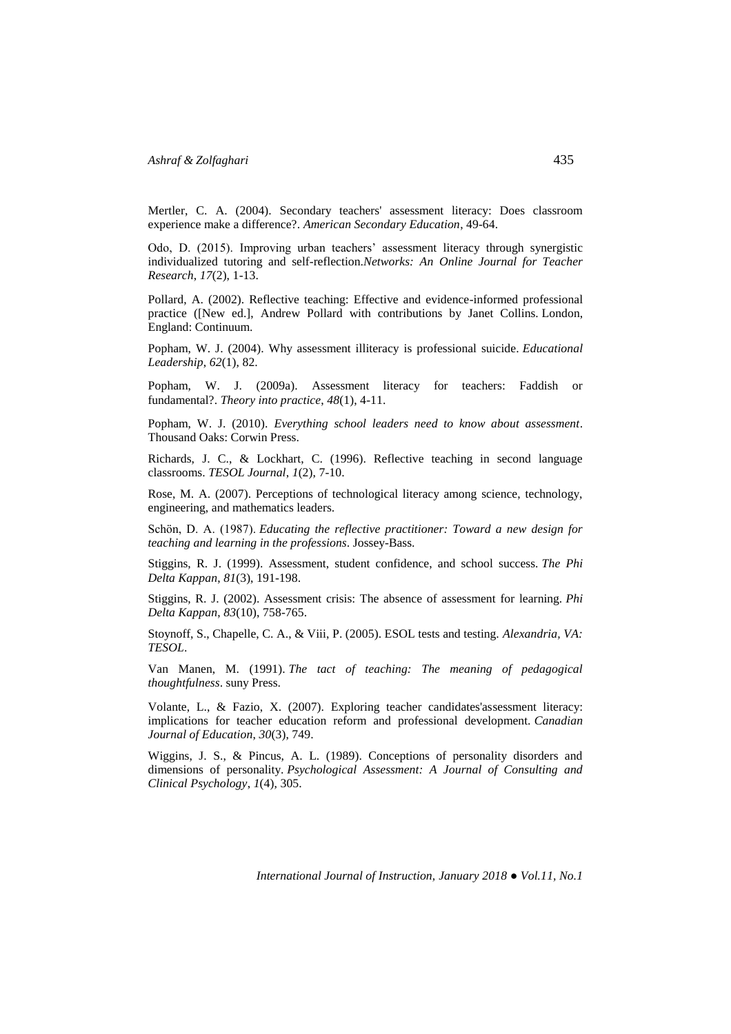Mertler, C. A. (2004). Secondary teachers' assessment literacy: Does classroom experience make a difference?. *American Secondary Education*, 49-64.

Odo, D. (2015). Improving urban teachers' assessment literacy through synergistic individualized tutoring and self-reflection.*Networks: An Online Journal for Teacher Research*, *17*(2), 1-13.

Pollard, A. (2002). Reflective teaching: Effective and evidence-informed professional practice ([New ed.], Andrew Pollard with contributions by Janet Collins. London, England: Continuum.

Popham, W. J. (2004). Why assessment illiteracy is professional suicide. *Educational Leadership*, *62*(1), 82.

Popham, W. J. (2009a). Assessment literacy for teachers: Faddish or fundamental?. *Theory into practice*, *48*(1), 4-11.

Popham, W. J. (2010). *Everything school leaders need to know about assessment*. Thousand Oaks: Corwin Press.

Richards, J. C., & Lockhart, C. (1996). Reflective teaching in second language classrooms. *TESOL Journal*, *1*(2), 7-10.

Rose, M. A. (2007). Perceptions of technological literacy among science, technology, engineering, and mathematics leaders.

Schön, D. A. (1987). *Educating the reflective practitioner: Toward a new design for teaching and learning in the professions*. Jossey-Bass.

Stiggins, R. J. (1999). Assessment, student confidence, and school success. *The Phi Delta Kappan*, *81*(3), 191-198.

Stiggins, R. J. (2002). Assessment crisis: The absence of assessment for learning. *Phi Delta Kappan*, *83*(10), 758-765.

Stoynoff, S., Chapelle, C. A., & Viii, P. (2005). ESOL tests and testing. *Alexandria, VA: TESOL*.

Van Manen, M. (1991). *The tact of teaching: The meaning of pedagogical thoughtfulness*. suny Press.

Volante, L., & Fazio, X. (2007). Exploring teacher candidates'assessment literacy: implications for teacher education reform and professional development. *Canadian Journal of Education*, *30*(3), 749.

Wiggins, J. S., & Pincus, A. L. (1989). Conceptions of personality disorders and dimensions of personality. *Psychological Assessment: A Journal of Consulting and Clinical Psychology*, *1*(4), 305.